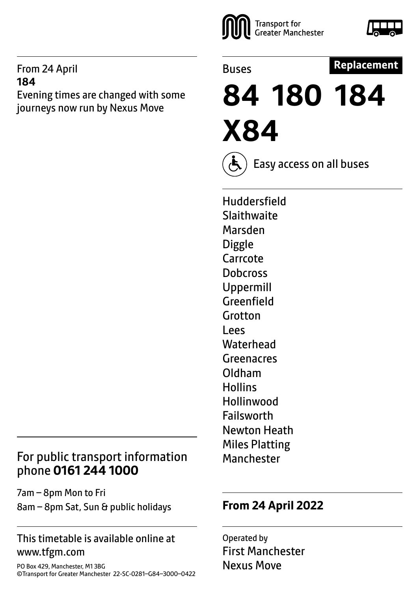#### From 24 April **184**

Evening times are changed with some journeys now run by Nexus Move

# Transport for<br>Greater Manchester



Buses

#### **Replacement**

**84 180 184 X84**

Easy access on all buses

Huddersfield **Slaithwaite** Marsden **Diggle** Carrcote **Dobcross** Uppermill Greenfield Grotton Lees **Waterhead Greenacres** Oldham **Hollins Hollinwood** Failsworth Newton Heath Miles Platting Manchester

#### For public transport information phone **0161 244 1000**

7am – 8pm Mon to Fri 8am – 8pm Sat, Sun & public holidays

#### This timetable is available online at www.tfgm.com

PO Box 429, Manchester, M1 3BG ©Transport for Greater Manchester 22-SC-0281–G84–3000–0422

#### **From 24 April 2022**

Operated by First Manchester Nexus Move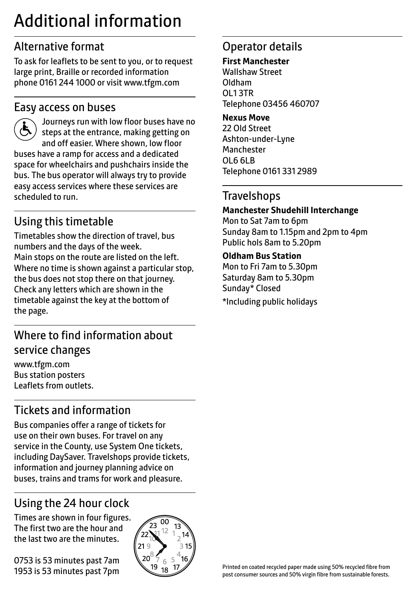# Additional information

## Alternative format

To ask for leaflets to be sent to you, or to request large print, Braille or recorded information phone 0161 244 1000 or visit www.tfgm.com

#### Easy access on buses



 Journeys run with low floor buses have no steps at the entrance, making getting on and off easier. Where shown, low floor buses have a ramp for access and a dedicated space for wheelchairs and pushchairs inside the bus. The bus operator will always try to provide easy access services where these services are scheduled to run.

# Using this timetable

Timetables show the direction of travel, bus numbers and the days of the week. Main stops on the route are listed on the left. Where no time is shown against a particular stop, the bus does not stop there on that journey. Check any letters which are shown in the timetable against the key at the bottom of the page.

## Where to find information about service changes

www.tfgm.com Bus station posters Leaflets from outlets.

# Tickets and information

Bus companies offer a range of tickets for use on their own buses. For travel on any service in the County, use System One tickets, including DaySaver. Travelshops provide tickets, information and journey planning advice on buses, trains and trams for work and pleasure.

# Using the 24 hour clock

Times are shown in four figures. The first two are the hour and the last two are the minutes.

0753 is 53 minutes past 7am 1953 is 53 minutes past 7pm



#### Operator details

#### **First Manchester**

Wallshaw Street Oldham OL1 3TR Telephone 03456 460707

#### **Nexus Move**

22 Old Street Ashton-under-Lyne Manchester OL6 6LB Telephone 0161 331 2989

#### **Travelshops**

#### **Manchester Shudehill Interchange**

Mon to Sat 7am to 6pm Sunday 8am to 1.15pm and 2pm to 4pm Public hols 8am to 5.20pm

#### **Oldham Bus Station**

Mon to Fri 7am to 5.30pm Saturday 8am to 5.30pm Sunday\* Closed \*Including public holidays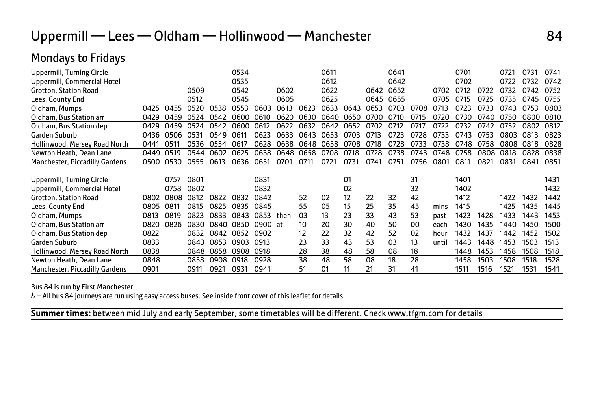| Uppermill, Turning Circle        |      |      |      |      | 0534 |         |      |      | 0611 |       |      | 0641 |      |       | 0701 |      | 0721 | 0731 | 0741 |
|----------------------------------|------|------|------|------|------|---------|------|------|------|-------|------|------|------|-------|------|------|------|------|------|
| Uppermill, Commercial Hotel      |      |      |      |      | 0535 |         |      |      | 0612 |       |      | 0642 |      |       | 0702 |      | 0722 | 0732 | 0742 |
| <b>Grotton, Station Road</b>     |      |      | 0509 |      | 0542 |         | 0602 |      | 0622 |       | 0642 | 0652 |      | 0702  | 0712 | 0722 | 0732 | 0742 | 0752 |
| Lees, County End                 |      |      | 0512 |      | 0545 |         | 0605 |      | 0625 |       | 0645 | 0655 |      | 0705  | 0715 | 0725 | 0735 | 0745 | 0755 |
| Oldham, Mumps                    | 0425 | 0455 | 0520 | 0538 | 0553 | 0603    | 0613 | 0623 | 0633 | 0643  | 0653 | 0703 | 0708 | 0713  | 0723 | 0733 | 0743 | 0753 | 0803 |
| Oldham, Bus Station arr          | 0429 | 0459 | 0524 | 0542 | 0600 | 0610    | 0620 | 0630 | 0640 | 0650  | 0700 | 0710 | 0715 | 0720  | 0730 | 0740 | 0750 | 0800 | 0810 |
| Oldham, Bus Station dep          | 0429 | 0459 | 0524 | 0542 | 0600 | 0612    | 0622 | 0632 | 0642 | 0652  | 0702 | 0712 | 0717 | 0722  | 0732 | 0742 | 0752 | 0802 | 0812 |
| Garden Suburb                    | 0436 | 0506 | 0531 | 0549 | 0611 | กธวว    | 0633 | 0643 | 0653 | .กรกร | 0713 | በ723 | በ728 | 0733  | กว⊿ว | 0753 | 0803 | 0813 | 0823 |
| Hollinwood, Mersey Road North    | 0441 | 0511 | 0536 | 0554 | 0617 | 0628    | 0638 | 0648 | 0658 | 0708  | 0718 | 0728 | 0733 | 0738  | 0748 | 0758 | 0808 | 0818 | 0828 |
| Newton Heath, Dean Lane          | 0449 | 0519 | 0544 | 0602 | 0625 | 0638    | 0648 | 0658 | 0708 | 0718  | 0728 | 0738 | 0743 | 0748  | 0758 | 0808 | 0818 | 0828 | 0838 |
| Manchester, Piccadilly Gardens   | 0500 | 0530 | 0555 | 0613 | 0636 | 0651    | 0701 | 0711 | 0721 | 0731  | 0741 | 0751 | 0756 | 0801  | 0811 | 0821 | 0831 | 0841 | 0851 |
|                                  |      |      |      |      |      |         |      |      |      |       |      |      |      |       |      |      |      |      |      |
| <b>Uppermill, Turning Circle</b> |      | 0757 | 0801 |      |      | 0831    |      |      |      | 01    |      |      | 31   |       | 1401 |      |      |      | 1431 |
| Uppermill, Commercial Hotel      |      | 0758 | 0802 |      |      | 0832    |      |      |      | 02    |      |      | 32   |       | 1402 |      |      |      | 1432 |
| <b>Grotton, Station Road</b>     | 0802 | 0808 | 0812 | 0822 | 0832 | 0842    |      | 52   | 02   | 12    | 22   | 32   | 42   |       | 1412 |      | 1422 | 1432 | 1442 |
| Lees, County End                 | 0805 | 0811 | 0815 | 0825 | 0835 | 0845    |      | 55   | 05   | 15    | 25   | 35   | 45   | mins  | 1415 |      | 1425 | 1435 | 1445 |
| Oldham, Mumps                    | 0813 | 0819 | 0823 | 0833 | 0843 | 0853    | then | 03   | 13   | 23    | 33   | 43   | 53   | past  | 1423 | 1428 | 1433 | 1443 | 1453 |
| Oldham, Bus Station arr          | 0820 | 0826 | 0830 | 0840 | 0850 | 0900 at |      | 10   | 20   | 30    | 40   | 50   | 00   | each  | 1430 | 1435 | 1440 | 1450 | 1500 |
| Oldham, Bus Station dep          | 0822 |      | 0832 | 0842 | 0852 | 0902    |      | 12   | 22   | 32    | 42   | 52   | 02   | hour  | 1432 | 1437 | 1442 | 1452 | 1502 |
| Garden Suburb                    | 0833 |      | 0843 | 0853 | 0903 | 0913    |      | 23   | 33   | 43    | 53   | 03   | 13   | until | 1443 | 1448 | 1453 | 1503 | 1513 |
| Hollinwood, Mersey Road North    | 0838 |      | 0848 | 0858 | 0908 | 0918    |      | 28   | 38   | 48    | 58   | 08   | 18   |       | 1448 | 1453 | 1458 | 1508 | 1518 |
| Newton Heath, Dean Lane          | 0848 |      | 0858 | 0908 | 0918 | 0928    |      | 38   | 48   | 58    | 08   | 18   | 28   |       | 1458 | 1503 | 1508 | 1518 | 1528 |
| Manchester, Piccadilly Gardens   | 0901 |      | 0911 | 0921 | 0931 | 0941    |      | 51   | 01   | 11    | 21   | 31   | 41   |       | 1511 | 1516 | 1521 | 1531 | 1541 |

#### Bus 84 is run by First Manchester

& - All bus 84 journeys are run using easy access buses. See inside front cover of this leaflet for details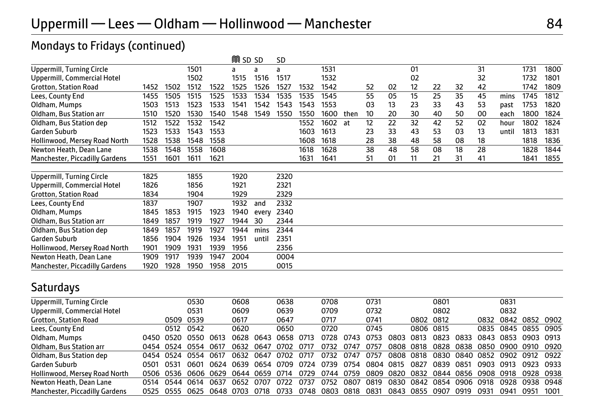#### Mondays to Fridays (continued)

|                                  |      |      |      |      | <b>M</b> SD SD |       | <b>SD</b> |      |      |      |    |    |    |    |    |    |       |      |      |
|----------------------------------|------|------|------|------|----------------|-------|-----------|------|------|------|----|----|----|----|----|----|-------|------|------|
| Uppermill, Turning Circle        |      |      | 1501 |      | a              | a     | a         |      | 1531 |      |    |    | 01 |    |    | 31 |       | 1731 | 1800 |
| Uppermill, Commercial Hotel      |      |      | 1502 |      | 1515           | 1516  | 1517      |      | 1532 |      |    |    | 02 |    |    | 32 |       | 1732 | 1801 |
| <b>Grotton, Station Road</b>     | 1452 | 1502 | 1512 | 1522 | 1525           | 1526  | 1527      | 1532 | 1542 |      | 52 | 02 | 12 | 22 | 32 | 42 |       | 1742 | 1809 |
| Lees, County End                 | 1455 | 1505 | 1515 | 1525 | 1533           | 1534  | 1535      | 1535 | 1545 |      | 55 | 05 | 15 | 25 | 35 | 45 | mins  | 1745 | 1812 |
| Oldham, Mumps                    | 1503 | 1513 | 1523 | 1533 | 1541           | 1542  | 1543      | 1543 | 1553 |      | 03 | 13 | 23 | 33 | 43 | 53 | past  | 1753 | 1820 |
| Oldham, Bus Station arr          | 1510 | 1520 | 1530 | 1540 | 1548           | 1549  | 1550      | 1550 | 1600 | then | 10 | 20 | 30 | 40 | 50 | 00 | each  | 1800 | 1824 |
| Oldham, Bus Station dep          | 1512 | 1522 | 1532 | 1542 |                |       |           | 1552 | 1602 | at   | 12 | 22 | 32 | 42 | 52 | 02 | hour  | 1802 | 1824 |
| Garden Suburb                    | 1523 | 1533 | 1543 | 1553 |                |       |           | 1603 | 1613 |      | 23 | 33 | 43 | 53 | 03 | 13 | until | 1813 | 1831 |
| Hollinwood, Mersey Road North    | 1528 | 1538 | 1548 | 1558 |                |       |           | 1608 | 1618 |      | 28 | 38 | 48 | 58 | 08 | 18 |       | 1818 | 1836 |
| Newton Heath, Dean Lane          | 1538 | 1548 | 1558 | 1608 |                |       |           | 1618 | 1628 |      | 38 | 48 | 58 | 08 | 18 | 28 |       | 1828 | 1844 |
| Manchester, Piccadilly Gardens   | 1551 | 1601 | 1611 | 1621 |                |       |           | 1631 | 1641 |      | 51 | 01 | 11 | 21 | 31 | 41 |       | 1841 | 1855 |
| <b>Uppermill, Turning Circle</b> | 1825 |      | 1855 |      | 1920           |       | 2320      |      |      |      |    |    |    |    |    |    |       |      |      |
| Uppermill, Commercial Hotel      | 1826 |      | 1856 |      | 1921           |       | 2321      |      |      |      |    |    |    |    |    |    |       |      |      |
| <b>Grotton, Station Road</b>     | 1834 |      | 1904 |      | 1929           |       | 2329      |      |      |      |    |    |    |    |    |    |       |      |      |
| Lees, County End                 | 1837 |      | 1907 |      | 1932           | and   | 2332      |      |      |      |    |    |    |    |    |    |       |      |      |
| Oldham, Mumps                    | 1845 | 1853 | 1915 | 1923 | 1940           | every | 2340      |      |      |      |    |    |    |    |    |    |       |      |      |
| Oldham, Bus Station arr          | 1849 | 1857 | 1919 | 1927 | 1944           | 30    | 2344      |      |      |      |    |    |    |    |    |    |       |      |      |
| Oldham, Bus Station dep          | 1849 | 1857 | 1919 | 1927 | 1944           | mins  | 2344      |      |      |      |    |    |    |    |    |    |       |      |      |
| Garden Suburb                    | 1856 | 1904 | 1926 | 1934 | 1951           | until | 2351      |      |      |      |    |    |    |    |    |    |       |      |      |
| Hollinwood, Mersey Road North    | 1901 | 1909 | 1931 | 1939 | 1956           |       | 2356      |      |      |      |    |    |    |    |    |    |       |      |      |
| Newton Heath, Dean Lane          | 1909 | 1917 | 1939 | 1947 | 2004           |       | 0004      |      |      |      |    |    |    |    |    |    |       |      |      |
| Manchester, Piccadilly Gardens   | 1920 | 1928 | 1950 | 1958 | 2015           |       | 0015      |      |      |      |    |    |    |    |    |    |       |      |      |

#### Saturdays

| Uppermill, Turning Circle      |       |           | 0530      |      | 0608  |      | 0638 |      | 0708 |      | 0731      |      |           | 0801           |      |      | 0831                |           |      |
|--------------------------------|-------|-----------|-----------|------|-------|------|------|------|------|------|-----------|------|-----------|----------------|------|------|---------------------|-----------|------|
| Uppermill, Commercial Hotel    |       |           | 0531      |      | 0609  |      | 0639 |      | 0709 |      | 0732      |      |           | 0802           |      |      | 0832                |           |      |
| <b>Grotton, Station Road</b>   |       | 0509      | 0539      |      | 0617  |      | 0647 |      | 0717 |      | 0741      |      | 0802 0812 |                |      | 0832 | 0842 0852 0902      |           |      |
| Lees, County End               |       | 0512      | 0542      |      | 0620  |      | 0650 |      | 0720 |      | 0745      |      | 0806 0815 |                |      | 0835 | 0845 0855 0905      |           |      |
| Oldham, Mumps                  | 0450. | 0520      | 0550      | 0613 | በ628. | 0643 | 0658 | 0713 | 0728 | በ743 | 0753      | กลกว | 0813      | 0823           | 0833 | 0843 | 0853                | 0903 0913 |      |
| Oldham, Bus Station arr        |       | 0454 0524 | 0554 0617 |      | 0632  | 0647 | 0702 | 0717 | 0732 | 0747 | 0757      | 0808 | 0818      | 0828           | 0838 |      | 0850 0900 0910 0920 |           |      |
| Oldham, Bus Station dep        | 0454  | 0524      | 0554      | 0617 | กราว  | 0647 | 0702 | 0717 | 0732 | 0747 | 0757      | 0808 | 0818      | 0830           | 0840 | 0852 | 0902                | 0912 0922 |      |
| Garden Suburb                  | 0501  | 0531      | 0601      | 0624 | 0639  | 0654 | 0709 | 0724 | 0739 | 0754 | 0804 0815 |      | 0827      | 0839           | 0851 | 0903 | 0913                | 0923 0933 |      |
| Hollinwood, Mersey Road North  | 0506  | 0536      | 0606 0629 |      | 0644  | 0659 | 0714 | 0729 | 0744 | 0759 | 0809      | 0820 | 0832      | 0844 0856 0908 |      |      | 0918                | 0928 0938 |      |
| Newton Heath, Dean Lane        | 0514  | 0544      | 0614      | 0637 | 0652  | 0707 | 0722 | 0737 | 0752 | 0807 | 0819      | 0830 | 0842      | 0854           | 0906 | 0918 | 0928                | 0938 0948 |      |
| Manchester, Piccadilly Gardens | 0525  | 0555      | 0625      | 0648 | 0703  | 0718 | 0733 | 0748 | 0803 | 0818 | 0831      | 0843 | 0855      | 0907           | 0919 | 0931 | 0941                | 0951      | 1001 |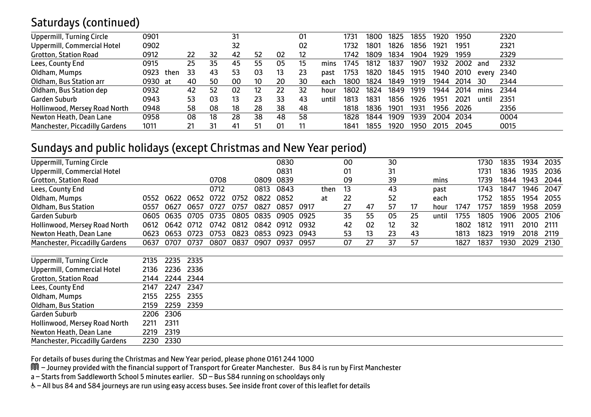#### Saturdays (continued)

| Uppermill, Turning Circle      | 0901 |      |    |                | $3^{\circ}$ |    |    | 01 |       | 173  | 1800 | 1825 | 1855 | 1920 | 1950 |       | 2320 |
|--------------------------------|------|------|----|----------------|-------------|----|----|----|-------|------|------|------|------|------|------|-------|------|
| Uppermill, Commercial Hotel    | 0902 |      |    |                | 32          |    |    | 02 |       | 1732 | 1801 | 1826 | 1856 | 1921 | 1951 |       | 2321 |
| <b>Grotton, Station Road</b>   | 0912 |      | 22 | 32             | 42          | 52 | 02 | 12 |       | 1742 | 1809 | 1834 | 1904 | 1929 | 1959 |       | 2329 |
| Lees, County End               | 0915 |      | 25 | 35             | 45          | 55 | 05 | 15 | mins  | 1745 | 1812 | 1837 | 1907 | 1932 | 2002 | and   | 2332 |
| Oldham, Mumps                  | 0923 | then | 33 | 43             | 53          | 03 | 13 | 23 | past  | 1753 | 1820 | 1845 | 1915 | 1940 | 2010 | every | 2340 |
| Oldham, Bus Station arr        | 0930 | - at | 40 | 50             | 00          | 10 | 20 | 30 | each  | 1800 | 1824 | 1849 | 1919 | 1944 | 2014 | 30    | 2344 |
| Oldham, Bus Station dep        | 0932 |      | 42 | 52             | 02          | 12 | 22 | 32 | hour  | 1802 | 1824 | 1849 | 1919 | 1944 | 2014 | mins  | 2344 |
| Garden Suburb                  | 0943 |      | 53 | 03             | 13          | 23 | 33 | 43 | until | 1813 | 183' | 1856 | 1926 | 1951 | 2021 | until | 2351 |
| Hollinwood, Mersey Road North  | 0948 |      | 58 | 08             | 18          | 28 | 38 | 48 |       | 1818 | 1836 | 1901 | 1931 | 1956 | 2026 |       | 2356 |
| Newton Heath, Dean Lane        | 0958 |      | 08 | 18             | 28          | 38 | 48 | 58 |       | 1828 | 1844 | 1909 | 1939 | 2004 | 2034 |       | 0004 |
| Manchester, Piccadilly Gardens | 1011 |      | 21 | 3 <sup>1</sup> | 41          | 51 | 01 | 11 |       | 1841 | 1855 | 1920 | 1950 | 2015 | 2045 |       | 0015 |

#### Sundays and public holidays (except Christmas and New Year period)

| Uppermill, Turning Circle      |      |      |      |      |      |      | 0830 |      |      | 00 |    | 30 |    |       |      | 1730 | 1835 | 1934 | 2035 |
|--------------------------------|------|------|------|------|------|------|------|------|------|----|----|----|----|-------|------|------|------|------|------|
| Uppermill, Commercial Hotel    |      |      |      |      |      |      | 0831 |      |      | 01 |    | 31 |    |       |      | 1731 | 1836 | 1935 | 2036 |
| Grotton, Station Road          |      |      |      | 0708 |      | 0809 | 0839 |      |      | 09 |    | 39 |    | mins  |      | 1739 | 1844 | 1943 | 2044 |
| Lees, County End               |      |      |      | 0712 |      | 0813 | 0843 |      | then | 13 |    | 43 |    | past  |      | 1743 | 1847 | 1946 | 2047 |
| Oldham, Mumps                  | 0552 | 0622 | 0652 | 0722 | 0752 | 0822 | 0852 |      | at   | 22 |    | 52 |    | each  |      | 1752 | 1855 | 1954 | 2055 |
| Oldham, Bus Station            | 0557 | 0627 | 0657 | 0727 | 0757 | 0827 | 0857 | 0917 |      | 27 | 47 | 57 | 17 | hour  | 1747 | 1757 | 1859 | 1958 | 2059 |
| Garden Suburb                  | 0605 | 0635 | 0705 | 0735 | 0805 | 0835 | 0905 | 0925 |      | 35 | 55 | 05 | 25 | until | 1755 | 1805 | 1906 | 2005 | 2106 |
| Hollinwood, Mersey Road North  | 0612 | 0642 | 0712 | 0742 | 0812 | 0842 | 0912 | 0932 |      | 42 | 02 | 12 | 32 |       | 1802 | 1812 | 1911 | 2010 | 2111 |
| Newton Heath, Dean Lane        | 0623 | 0653 | 0723 | 0753 | 0823 | 0853 | 0923 | 0943 |      | 53 | 13 | 23 | 43 |       | 1813 | 1823 | 1919 | 2018 | 2119 |
| Manchester, Piccadilly Gardens | 0637 | 0707 | 0737 | 0807 | 0837 | 0907 | 0937 | 0957 |      | 07 | 27 | 37 | 57 |       | 1827 | 1837 | 1930 | 2029 | 2130 |
|                                |      |      |      |      |      |      |      |      |      |    |    |    |    |       |      |      |      |      |      |
| Uppermill, Turning Circle      | 2135 | 2235 | 2335 |      |      |      |      |      |      |    |    |    |    |       |      |      |      |      |      |
| Uppermill, Commercial Hotel    | 2136 | 2236 | 2336 |      |      |      |      |      |      |    |    |    |    |       |      |      |      |      |      |
| <b>Grotton, Station Road</b>   | 2144 | 2244 | 2344 |      |      |      |      |      |      |    |    |    |    |       |      |      |      |      |      |
| Lees, County End               | 2147 | 2247 | 2347 |      |      |      |      |      |      |    |    |    |    |       |      |      |      |      |      |
| Oldham, Mumps                  | 2155 | 2255 | 2355 |      |      |      |      |      |      |    |    |    |    |       |      |      |      |      |      |
| Oldham, Bus Station            | 2159 | 2259 | 2359 |      |      |      |      |      |      |    |    |    |    |       |      |      |      |      |      |
| Garden Suburb                  | 2206 | 2306 |      |      |      |      |      |      |      |    |    |    |    |       |      |      |      |      |      |
| Hollinwood, Mersey Road North  | 2211 | 2311 |      |      |      |      |      |      |      |    |    |    |    |       |      |      |      |      |      |
| Newton Heath, Dean Lane        | 2219 | 2319 |      |      |      |      |      |      |      |    |    |    |    |       |      |      |      |      |      |
| Manchester, Piccadilly Gardens | 2230 | 2330 |      |      |      |      |      |      |      |    |    |    |    |       |      |      |      |      |      |
|                                |      |      |      |      |      |      |      |      |      |    |    |    |    |       |      |      |      |      |      |

For details of buses during the Christmas and New Year period, please phone 0161 244 1000

M – Journey provided with the financial support of Transport for Greater Manchester. Bus 84 is run by First Manchester

a – Starts from Saddleworth School 5 minutes earlier. SD – Bus S84 running on schooldays only

W– All bus 84 and S84 journeys are run using easy access buses. See inside front cover of this leaflet for details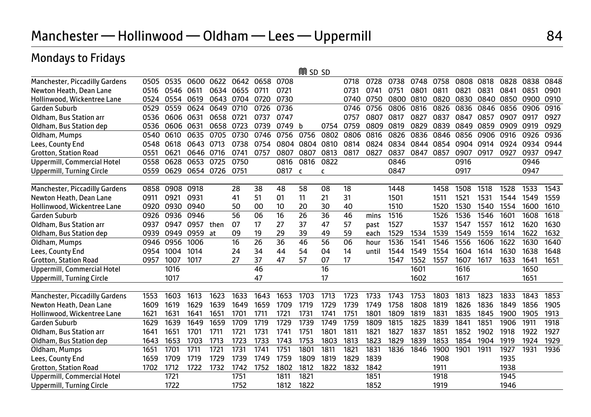|                                  |      |      |      |      |      |      |      | <b>M</b> SD SD |      |      |       |      |      |      |      |      |      |      |      |
|----------------------------------|------|------|------|------|------|------|------|----------------|------|------|-------|------|------|------|------|------|------|------|------|
| Manchester, Piccadilly Gardens   | 0505 | 0535 | 0600 | 0622 | 0642 | 0658 | 0708 |                |      | 0718 | 0728  | 0738 | 0748 | 0758 | 0808 | 0818 | 0828 | 0838 | 0848 |
| Newton Heath, Dean Lane          | 0516 | 0546 | 0611 | 0634 | 0655 | 0711 | 0721 |                |      | 0731 | 0741  | 0751 | 0801 | 0811 | 0821 | 0831 | 0841 | 0851 | 0901 |
| Hollinwood, Wickentree Lane      | 0524 | 0554 | 0619 | 0643 | 0704 | 0720 | 0730 |                |      | 0740 | 0750  | 0800 | 0810 | 0820 | 0830 | 0840 | 0850 | 0900 | 0910 |
| <b>Garden Suburb</b>             | 0529 | 0559 | 0624 | 0649 | 0710 | 0726 | 0736 |                |      | 0746 | 0756  | 0806 | 0816 | 0826 | 0836 | 0846 | 0856 | 0906 | 0916 |
| Oldham, Bus Station arr          | 0536 | 0606 | 0631 | 0658 | 0721 | 0737 | 0747 |                |      | 0757 | 0807  | 0817 | 0827 | 0837 | 0847 | 0857 | 0907 | 0917 | 0927 |
| Oldham, Bus Station dep          | 0536 | 0606 | 0631 | 0658 | 0723 | 0739 | 0749 | b              | 0754 | 0759 | 0809  | 0819 | 0829 | 0839 | 0849 | 0859 | 0909 | 0919 | 0929 |
| Oldham, Mumps                    | 0540 | 0610 | 0635 | 0705 | 0730 | 0746 | 0756 | 0756           | 0802 | 0806 | 0816  | 0826 | 0836 | 0846 | 0856 | 0906 | 0916 | 0926 | 0936 |
| Lees, County End                 | 0548 | 0618 | 0643 | 0713 | 0738 | 0754 | 0804 | 0804           | 0810 | 0814 | 0824  | 0834 | 0844 | 0854 | 0904 | 0914 | 0924 | 0934 | 0944 |
| <b>Grotton, Station Road</b>     | 0551 | 062  | 0646 | 0716 | 0741 | 0757 | 0807 | 0807           | 0813 | 0817 | 0827  | 0837 | 0847 | 0857 | 0907 | 0917 | 0927 | 0937 | 0947 |
| Uppermill, Commercial Hotel      | 0558 | 0628 | 0653 | 0725 | 0750 |      | 0816 | 0816           | 0822 |      |       | 0846 |      |      | 0916 |      |      | 0946 |      |
| Uppermill, Turning Circle        | 0559 | 0629 | 0654 | 0726 | 0751 |      | 0817 | C              | c    |      |       | 0847 |      |      | 0917 |      |      | 0947 |      |
| Manchester, Piccadilly Gardens   | 0858 | 0908 | 0918 |      | 28   | 38   | 48   | 58             | 08   | 18   |       | 1448 |      | 1458 | 1508 | 1518 | 1528 | 1533 | 1543 |
| Newton Heath, Dean Lane          | 0911 | 0921 | 0931 |      | 41   | 51   | 01   | 11             | 21   | 31   |       | 1501 |      | 1511 | 1521 | 1531 | 1544 | 1549 | 1559 |
| Hollinwood, Wickentree Lane      | 0920 | 0930 | 0940 |      | 50   | 00   | 10   | 20             | 30   | 40   |       | 1510 |      | 1520 | 1530 | 1540 | 1554 | 1600 | 1610 |
| <b>Garden Suburb</b>             | 0926 | 0936 | 0946 |      | 56   | 06   | 16   | 26             | 36   | 46   | mins  | 1516 |      | 1526 | 1536 | 1546 | 1601 | 1608 | 1618 |
| Oldham, Bus Station arr          | 0937 | 0947 | 0957 | then | 07   | 17   | 27   | 37             | 47   | 57   | past  | 1527 |      | 1537 | 1547 | 1557 | 1612 | 1620 | 1630 |
| Oldham, Bus Station dep          | 0939 | 0949 | 0959 | at   | 09   | 19   | 29   | 39             | 49   | 59   | each  | 1529 | 1534 | 1539 | 1549 | 1559 | 1614 | 1622 | 1632 |
| Oldham, Mumps                    | 0946 | 0956 | 1006 |      | 16   | 26   | 36   | 46             | 56   | 06   | houi  | 1536 | 1541 | 1546 | 1556 | 1606 | 1622 | 1630 | 1640 |
| Lees, County End                 | 0954 | 1004 | 1014 |      | 24   | 34   | 44   | 54             | 04   | 14   | until | 1544 | 1549 | 1554 | 1604 | 1614 | 1630 | 1638 | 1648 |
| <b>Grotton, Station Road</b>     | 0957 | 1007 | 1017 |      | 27   | 37   | 47   | 57             | 07   | 17   |       | 1547 | 1552 | 1557 | 1607 | 1617 | 1633 | 1641 | 1651 |
| Uppermill, Commercial Hotel      |      | 1016 |      |      |      | 46   |      |                | 16   |      |       |      | 1601 |      | 1616 |      |      | 1650 |      |
| <b>Uppermill, Turning Circle</b> |      | 1017 |      |      |      | 47   |      |                | 17   |      |       |      | 1602 |      | 1617 |      |      | 1651 |      |
|                                  |      |      |      |      |      |      |      |                |      |      |       |      |      |      |      |      |      |      |      |
| Manchester, Piccadilly Gardens   | 1553 | 1603 | 1613 | 1623 | 1633 | 1643 | 1653 | 1703           | 1713 | 1723 | 1733  | 1743 | 1753 | 1803 | 1813 | 1823 | 1833 | 1843 | 1853 |
| Newton Heath, Dean Lane          | 1609 | 1619 | 1629 | 1639 | 1649 | 1659 | 1709 | 1719           | 1729 | 1739 | 1749  | 1758 | 1808 | 1819 | 1826 | 1836 | 1849 | 1856 | 1905 |
| Hollinwood, Wickentree Lane      | 1621 | 1631 | 1641 | 1651 | 1701 | 1711 | 1721 | 1731           | 1741 | 1751 | 1801  | 1809 | 1819 | 1831 | 1835 | 1845 | 1900 | 1905 | 1913 |
| <b>Garden Suburb</b>             | 1629 | 1639 | 1649 | 1659 | 1709 | 1719 | 1729 | 1739           | 1749 | 1759 | 1809  | 1815 | 1825 | 1839 | 1841 | 1851 | 1906 | 1911 | 1918 |
| Oldham, Bus Station arr          | 1641 | 1651 | 1701 | 1711 | 1721 | 1731 | 1741 | 1751           | 1801 | 1811 | 1821  | 1827 | 1837 | 1851 | 1852 | 1902 | 1918 | 1922 | 1927 |
| Oldham, Bus Station dep          | 1643 | 1653 | 1703 | 1713 | 1723 | 1733 | 1743 | 1753           | 1803 | 1813 | 1823  | 1829 | 1839 | 1853 | 1854 | 1904 | 1919 | 1924 | 1929 |
| Oldham, Mumps                    | 1651 | 1701 | 1711 | 172  | 1731 | 1741 | 1751 | 1801           | 1811 | 1821 | 1831  | 1836 | 1846 | 1900 | 1901 | 1911 | 1927 | 1931 | 1936 |
| Lees, County End                 | 1659 | 1709 | 1719 | 1729 | 1739 | 1749 | 1759 | 1809           | 1819 | 1829 | 1839  |      |      | 1908 |      |      | 1935 |      |      |
| Grotton, Station Road            | 1702 | 1712 | 1722 | 1732 | 1742 | 1752 | 1802 | 1812           | 1822 | 1832 | 1842  |      |      | 1911 |      |      | 1938 |      |      |
| Uppermill, Commercial Hotel      |      | 1721 |      |      | 1751 |      | 1811 | 1821           |      |      | 1851  |      |      | 1918 |      |      | 1945 |      |      |
| <b>Uppermill, Turning Circle</b> |      | 1722 |      |      | 1752 |      | 1812 | 1822           |      |      | 1852  |      |      | 1919 |      |      | 1946 |      |      |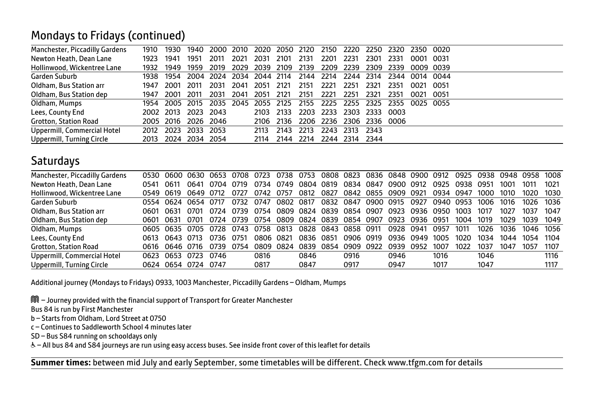#### Mondays to Fridays (continued)

| Manchester, Piccadilly Gardens | 1910 | 1930      | 1940                     | 2000                     | 2010 | 2020 | 2050 2120 |      | 2150 | 2220           | 2250 2320                          |      | 2350 0020 |      |  |
|--------------------------------|------|-----------|--------------------------|--------------------------|------|------|-----------|------|------|----------------|------------------------------------|------|-----------|------|--|
| Newton Heath, Dean Lane        | 1923 | 1941      | 1951                     | 2011                     | 2021 | 2031 | 2101      | 2131 | 2201 | 2231           | 2301                               | 2331 | 0001 0031 |      |  |
| Hollinwood, Wickentree Lane    | 1932 | 1949      | 1959                     | 2019                     | 2029 | 2039 | 2109      | 2139 | 2209 | 2239           | 2309                               | 2339 | 0009 0039 |      |  |
| Garden Suburb                  | 1938 | 1954      |                          | 2004 2024 2034 2044 2114 |      |      |           |      |      |                | 2144 2214 2244 2314 2344 0014 0044 |      |           |      |  |
| Oldham, Bus Station arr        | 1947 | 2001      | - 2011                   | 2031                     | 2041 | 2051 | 2121      | 2151 | 2221 | 2251           | 2321                               | 2351 | 0021      | 0051 |  |
| Oldham, Bus Station dep        | 1947 | 2001      | - 2011                   | 2031                     | 2041 | 2051 | 2121      | 2151 | 2221 | 2251           | 2321                               | 2351 | 0021      | 0051 |  |
| Oldham, Mumps                  |      |           | 1954 2005 2015 2035 2045 |                          |      | 2055 | 2125      | 2155 | 2225 |                | 2255 2325 2355 0025 0055           |      |           |      |  |
| Lees, County End               |      | 2002 2013 | 2023 2043                |                          |      | 2103 | 2133      | 2203 | 2233 |                | 2303 2333                          | 0003 |           |      |  |
| Grotton, Station Road          |      |           | 2005 2016 2026 2046      |                          |      | 2106 | 2136      |      |      |                | 2206 2236 2306 2336 0006           |      |           |      |  |
| Uppermill, Commercial Hotel    | 2012 | 2023      | 2033 2053                |                          |      | 2113 | 2143      | 2213 | 2243 | 2313           | - 2343                             |      |           |      |  |
| Uppermill, Turning Circle      | 2013 |           | 2024 2034 2054           |                          |      | 2114 | 2144      | 2214 |      | 2244 2314 2344 |                                    |      |           |      |  |

#### **Saturdays**

| 0530. |              |                                   |                                |                                                                              | 0723                           | 0738                         | 0753                         |      |                      |                                                                                        |                                                    |                                                                  |                                                         |      |      |      |                          |
|-------|--------------|-----------------------------------|--------------------------------|------------------------------------------------------------------------------|--------------------------------|------------------------------|------------------------------|------|----------------------|----------------------------------------------------------------------------------------|----------------------------------------------------|------------------------------------------------------------------|---------------------------------------------------------|------|------|------|--------------------------|
| 0541  | <u> ೧६11</u> | በ641                              | 0704                           | 0719                                                                         | 0734                           | 0749                         | 0804                         |      |                      |                                                                                        |                                                    | 0925                                                             | 0938                                                    | 0951 | 1001 | 1011 | 1021                     |
|       |              |                                   |                                | 0727                                                                         | 0742                           |                              | 0812                         |      |                      |                                                                                        |                                                    | 0934                                                             | 0947                                                    | 1000 | 1010 | 1020 | 1030                     |
|       |              |                                   |                                | 0732                                                                         |                                |                              |                              |      |                      |                                                                                        |                                                    |                                                                  | 0953                                                    | 1006 | 1016 | 1026 | 1036                     |
| 0601  | ู กรา        | 0701                              | 0724                           | 0739                                                                         |                                |                              |                              |      |                      | 0923                                                                                   |                                                    | 0950                                                             | 1003                                                    | 1017 | 1027 | 1037 | 1047                     |
| 0601  |              |                                   | 0724                           | 0739                                                                         |                                |                              |                              |      |                      |                                                                                        |                                                    |                                                                  | 1004                                                    | 1019 | 1029 | 1039 | 1049                     |
|       |              |                                   |                                |                                                                              |                                | 0813                         |                              |      |                      | 0928                                                                                   |                                                    | 0957                                                             | 1011                                                    | 1026 | 1036 | 1046 | 1056                     |
| 0613  |              |                                   | 0736                           | 0751                                                                         |                                | 0821                         | 0836                         |      |                      | 0936                                                                                   |                                                    | 1005                                                             | 1020                                                    | 1034 | 1044 | 1054 | 1104                     |
| 0616  |              |                                   | 0739                           | 0754                                                                         | 0809                           | 0824                         | 0839                         |      |                      | 0939                                                                                   |                                                    | 1007                                                             | 1022                                                    | 1037 | 1047 | 1057 | 1107                     |
| 0623  |              | 0723                              | 0746                           |                                                                              | 0816                           |                              | 0846                         |      | 0916                 | 0946                                                                                   |                                                    | 1016                                                             |                                                         | 1046 |      |      | 1116                     |
|       |              |                                   |                                |                                                                              | 0817                           |                              | 0847                         |      | 0917                 | 0947                                                                                   |                                                    | 1017                                                             |                                                         | 1047 |      |      | 1117                     |
|       |              | 0549 0619<br>0554<br>0631<br>0653 | 0701<br>0643 0713<br>0646 0716 | 0649 0712<br>0624 0654 0717<br>0605 0635 0705 0728<br>0624 0654 0724<br>0747 | 0600 0630 0653<br>0708<br>0743 | 0747<br>0754<br>0754<br>0758 | 0757<br>0802<br>0809<br>0806 | 0817 | 0819<br>0827<br>0851 | 0834 0847<br>0824 0839 0854 0907<br>0828 0843 0858 0911<br>0906 0919<br>0854 0909 0922 | 0832 0847 0900<br>0915<br>0809 0824 0839 0854 0907 | 0900 0912<br>0842 0855 0909 0921<br>0927<br>0941<br>0949<br>0952 | 0808 0823 0836 0848 0900 0912<br>0936<br>0923 0936 0951 | 0940 |      |      | 0925 0938 0948 0958 1008 |

Additional journey (Mondays to Fridays) 0933, 1003 Manchester, Piccadilly Gardens – Oldham, Mumps

M – Journey provided with the financial support of Transport for Greater Manchester

Bus 84 is run by First Manchester

b – Starts from Oldham, Lord Street at 0750

c – Continues to Saddleworth School 4 minutes later

SD – Bus S84 running on schooldays only

& - All bus 84 and S84 journeys are run using easy access buses. See inside front cover of this leaflet for details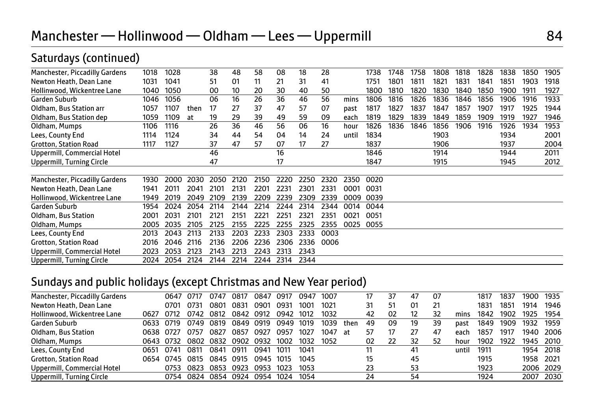| Saturdays (continued)            |      |      |      |      |      |      |      |      |      |       |      |      |      |      |      |      |      |      |      |
|----------------------------------|------|------|------|------|------|------|------|------|------|-------|------|------|------|------|------|------|------|------|------|
| Manchester, Piccadilly Gardens   | 1018 | 1028 |      | 38   | 48   | 58   | 08   | 18   | 28   |       | 1738 | 1748 | 1758 | 1808 | 1818 | 1828 | 1838 | 1850 | 1905 |
| Newton Heath, Dean Lane          | 1031 | 1041 |      | 51   | 01   | 11   | 21   | 31   | 41   |       | 1751 | 1801 | 1811 | 1821 | 1831 | 1841 | 1851 | 1903 | 1918 |
| Hollinwood, Wickentree Lane      | 1040 | 1050 |      | 00   | 10   | 20   | 30   | 40   | 50   |       | 1800 | 1810 | 1820 | 1830 | 1840 | 1850 | 1900 | 1911 | 1927 |
| Garden Suburb                    | 1046 | 1056 |      | 06   | 16   | 26   | 36   | 46   | 56   | mins  | 1806 | 1816 | 1826 | 1836 | 1846 | 1856 | 1906 | 1916 | 1933 |
| Oldham, Bus Station arr          | 1057 | 1107 | then | 17   | 27   | 37   | 47   | 57   | 07   | past  | 1817 | 1827 | 1837 | 1847 | 1857 | 1907 | 1917 | 1925 | 1944 |
| Oldham, Bus Station dep          | 1059 | 1109 | at   | 19   | 29   | 39   | 49   | 59   | 09   | each  | 1819 | 1829 | 1839 | 1849 | 1859 | 1909 | 1919 | 1927 | 1946 |
| Oldham, Mumps                    | 1106 | 1116 |      | 26   | 36   | 46   | 56   | 06   | 16   | hour  | 1826 | 1836 | 1846 | 1856 | 1906 | 1916 | 1926 | 1934 | 1953 |
| Lees, County End                 | 1114 | 1124 |      | 34   | 44   | 54   | 04   | 14   | 24   | until | 1834 |      |      | 1903 |      |      | 1934 |      | 2001 |
| Grotton, Station Road            | 1117 | 1127 |      | 37   | 47   | 57   | 07   | 17   | 27   |       | 1837 |      |      | 1906 |      |      | 1937 |      | 2004 |
| Uppermill, Commercial Hotel      |      |      |      | 46   |      |      | 16   |      |      |       | 1846 |      |      | 1914 |      |      | 1944 |      | 2011 |
| Uppermill, Turning Circle        |      |      |      | 47   |      |      | 17   |      |      |       | 1847 |      |      | 1915 |      |      | 1945 |      | 2012 |
| Manchester, Piccadilly Gardens   | 1930 | 2000 | 2030 | 2050 | 2120 | 2150 | 2220 | 2250 | 2320 | 2350  | 0020 |      |      |      |      |      |      |      |      |
| Newton Heath, Dean Lane          | 1941 | 2011 | 2041 | 2101 | 2131 | 2201 | 2231 | 2301 | 2331 | 0001  | 0031 |      |      |      |      |      |      |      |      |
| Hollinwood, Wickentree Lane      | 1949 | 2019 | 2049 | 2109 | 2139 | 2209 | 2239 | 2309 | 2339 | 0009  | 0039 |      |      |      |      |      |      |      |      |
| Garden Suburb                    | 1954 | 2024 | 2054 | 2114 | 2144 | 2214 | 2244 | 2314 | 2344 | 0014  | 0044 |      |      |      |      |      |      |      |      |
| Oldham, Bus Station              | 2001 | 2031 | 2101 | 2121 | 2151 | 2221 | 2251 | 2321 | 2351 | 0021  | 0051 |      |      |      |      |      |      |      |      |
| Oldham, Mumps                    | 2005 | 2035 | 2105 | 2125 | 2155 | 2225 | 2255 | 2325 | 2355 | 0025  | 0055 |      |      |      |      |      |      |      |      |
| Lees, County End                 | 2013 | 2043 | 2113 | 2133 | 2203 | 2233 | 2303 | 2333 | 0003 |       |      |      |      |      |      |      |      |      |      |
| Grotton, Station Road            | 2016 | 2046 | 2116 | 2136 | 2206 | 2236 | 2306 | 2336 | 0006 |       |      |      |      |      |      |      |      |      |      |
| Uppermill, Commercial Hotel      | 2023 | 2053 | 2123 | 2143 | 2213 | 2243 | 2313 | 2343 |      |       |      |      |      |      |      |      |      |      |      |
| <b>Uppermill, Turning Circle</b> | 2024 | 2054 | 2124 | 2144 | 2214 | 2244 | 2314 | 2344 |      |       |      |      |      |      |      |      |      |      |      |

#### Sundays and public holidays (except Christmas and New Year period)

| Manchester, Piccadilly Gardens |           | 0647      | O717 | 0747 | 0817 | 0847 | 0917 | 0947 | 1007 |      |    | 37 | 47 | 07 |       | 1817 | 1837 | 1900      | 1935 |
|--------------------------------|-----------|-----------|------|------|------|------|------|------|------|------|----|----|----|----|-------|------|------|-----------|------|
| Newton Heath, Dean Lane        |           | 0701      | 0731 | 0801 | 0831 | 0901 | 0931 | 1001 | 1021 |      | 31 | 51 | 01 | 21 |       | 1831 | 1851 | 1914      | 1946 |
| Hollinwood, Wickentree Lane    | 0627      | 0712      | 0742 | 0812 | 0842 | 0912 | 0942 | 1012 | 1032 |      | 42 | 02 | 12 | 32 | mins  | 1842 | 1902 | 1925      | 1954 |
| Garden Suburb                  | 0633      | 0719      | 0749 | 0819 | 0849 | 0919 | 0949 | 1019 | 1039 | then | 49 | 09 | 19 | 39 | past  | 1849 | 1909 | 1932      | 1959 |
| Oldham, Bus Station            | 0638 0727 |           | 0757 | 0827 | 0857 | 0927 | 0957 | 1027 | 1047 | -at  | 57 |    | 27 | 47 | each  | 1857 | 1917 | 1940      | 2006 |
| Oldham, Mumps                  |           | 0643 0732 | 0802 | 0832 | 0902 | 0932 | 1002 | 1032 | 1052 |      | 02 | 22 | 32 | 52 | hour  | 1902 | 1922 | 1945      | 2010 |
| Lees, County End               | 0651      | 0741      | 0811 | 0841 | 0911 | 0941 | 1011 | 1041 |      |      |    |    | 41 |    | until | 1911 |      | 1954      | 2018 |
| <b>Grotton, Station Road</b>   | 0654      | 0745      | 0815 | 0845 | 0915 | 0945 | 1015 | 1045 |      |      | 15 |    | 45 |    |       | 1915 |      | 1958      | 2021 |
| Uppermill, Commercial Hotel    |           | 0753      | 0823 | 0853 | 0923 | 0953 | 1023 | 1053 |      |      | 23 |    | 53 |    |       | 1923 |      | 2006 2029 |      |
| Uppermill, Turning Circle      |           | 0754      | 0824 | 0854 | 0924 | 0954 | 1024 | 1054 |      |      | 24 |    | 54 |    |       | 1924 |      | 2007      | 2030 |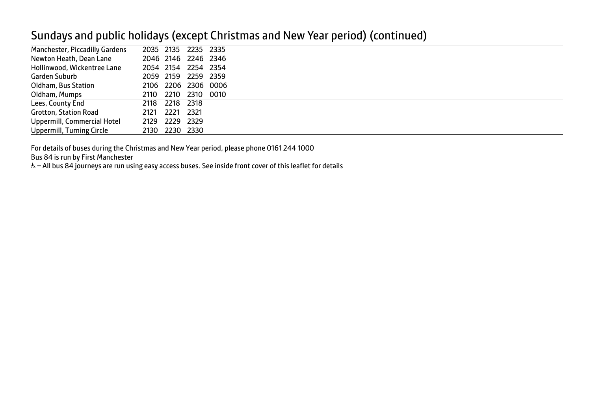#### Sundays and public holidays (except Christmas and New Year period) (continued)

| Manchester, Piccadilly Gardens | 2035 2135 2235 2335 |                |                     |  |
|--------------------------------|---------------------|----------------|---------------------|--|
| Newton Heath, Dean Lane        |                     |                | 2046 2146 2246 2346 |  |
| Hollinwood, Wickentree Lane    |                     |                | 2054 2154 2254 2354 |  |
| Garden Suburb                  |                     |                | 2059 2159 2259 2359 |  |
| Oldham, Bus Station            |                     |                | 2106 2206 2306 0006 |  |
| Oldham, Mumps                  |                     |                | 2110 2210 2310 0010 |  |
| Lees, County End               | 2118 2218 2318      |                |                     |  |
| <b>Grotton, Station Road</b>   | 2121                | 2221 2321      |                     |  |
| Uppermill, Commercial Hotel    | 2129 2229 2329      |                |                     |  |
| Uppermill, Turning Circle      |                     | 2130 2230 2330 |                     |  |

For details of buses during the Christmas and New Year period, please phone 0161 244 1000

Bus 84 is run by First Manchester

& - All bus 84 journeys are run using easy access buses. See inside front cover of this leaflet for details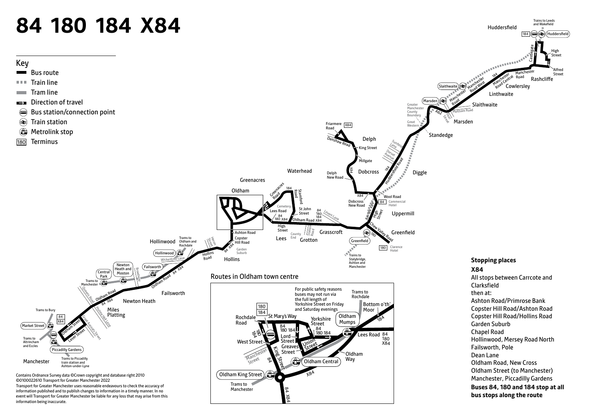# **84 180 184 X84**

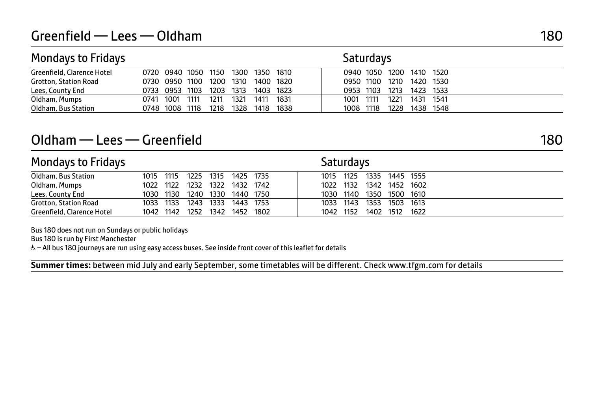| <b>Mondays to Fridays</b>  |      |                               |      |           |           |           |      | <b>Saturdays</b> |      |                          |  |
|----------------------------|------|-------------------------------|------|-----------|-----------|-----------|------|------------------|------|--------------------------|--|
| Greenfield, Clarence Hotel |      | 0720 0940 1050 1150 1300 1350 |      |           |           |           | 1810 |                  |      | 0940 1050 1200 1410 1520 |  |
| Grotton, Station Road      |      | 0730 0950 1100                |      |           | 1200 1310 | 1400      | 1820 | 0950 1100        | 1210 | 1420 1530                |  |
| Lees, County End           |      | 0733 0953 1103                |      | 1203 1313 |           | 1403 1823 |      | 0953 1103        | 1213 | 1423 1533                |  |
| Oldham, Mumps              | 0741 | 1001                          | 1111 | 1211      | 1321      | 1411      | 1831 | 1001 1111        | 1221 | 1431 1541                |  |
| Oldham, Bus Station        |      | 0748 1008                     | 1118 | 1218      | 1328      | 1418      | 1838 | 1008 1118        | 1228 | 1438 1548                |  |

## Oldham — Lees — Greenfield 180

Mondays to Fridays North Communications and Saturdays Saturdays Oldham, Bus Station 1015 1115 1225 1315 1425 1735 1015 1125 1335 1445 1555 Oldham, Mumps 1022 1122 1232 1322 1432 1742 1022 1132 1342 1452 1602 1030 1130 1240 1330 1440 1750 Grotton, Station Road 1033 1133 1243 1333 1443 1753 1133 1143 1353 1503 1613 Greenfield, Clarence Hotel 1042 1142 1252 1342 1452 1802 1042 1152 1402 1512 1622

Bus 180 does not run on Sundays or public holidays

Bus 180 is run by First Manchester

& - All bus 180 journeys are run using easy access buses. See inside front cover of this leaflet for details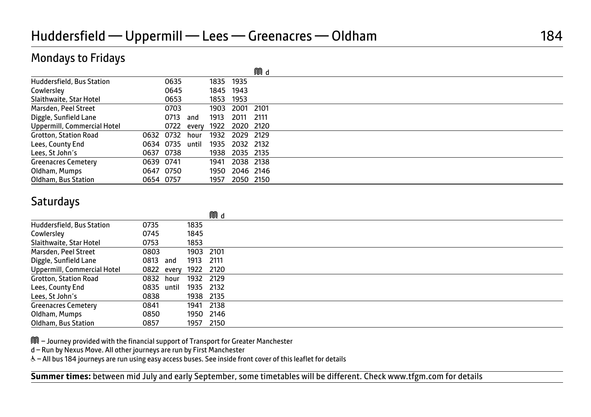|                              |           |      |            |      |           | MM d |  |
|------------------------------|-----------|------|------------|------|-----------|------|--|
| Huddersfield, Bus Station    |           | 0635 |            | 1835 | 1935      |      |  |
| Cowlersley                   |           | 0645 |            | 1845 | 1943      |      |  |
| Slaithwaite, Star Hotel      |           | 0653 |            | 1853 | 1953      |      |  |
| Marsden, Peel Street         |           | 0703 |            | 1903 | 2001      | 2101 |  |
| Diggle, Sunfield Lane        |           | 0713 | and        | 1913 | 2011      | 2111 |  |
| Uppermill, Commercial Hotel  |           |      | 0722 every | 1922 | 2020 2120 |      |  |
| <b>Grotton, Station Road</b> | 0632 0732 |      | hour       | 1932 | 2029 2129 |      |  |
| Lees, County End             | 0634 0735 |      | until      | 1935 | 2032 2132 |      |  |
| Lees, St John's              | 0637 0738 |      |            | 1938 | 2035 2135 |      |  |
| <b>Greenacres Cemetery</b>   | 0639 0741 |      |            | 1941 | 2038 2138 |      |  |
| Oldham, Mumps                | 0647 0750 |      |            | 1950 | 2046 2146 |      |  |
| Oldham, Bus Station          | 0654 0757 |      |            | 1957 | 2050 2150 |      |  |

#### **Saturdays**

|                              |           |            |           | MM d      |
|------------------------------|-----------|------------|-----------|-----------|
| Huddersfield, Bus Station    | 0735      |            | 1835      |           |
| Cowlersley                   | 0745      |            | 1845      |           |
| Slaithwaite, Star Hotel      | 0753      |            | 1853      |           |
| Marsden, Peel Street         | 0803      |            | 1903 2101 |           |
| Diggle, Sunfield Lane        | 0813      | and        | 1913      | 2111      |
| Uppermill, Commercial Hotel  |           | 0822 every | 1922 2120 |           |
| <b>Grotton, Station Road</b> | 0832 hour |            | 1932 2129 |           |
| Lees, County End             | 0835      | until      | 1935 2132 |           |
| Lees, St John's              | 0838      |            | 1938 2135 |           |
| <b>Greenacres Cemetery</b>   | 0841      |            | 1941      | 2138      |
| Oldham, Mumps                | 0850      |            |           | 1950 2146 |
| Oldham, Bus Station          | 0857      |            | 1957      | 2150      |

M – Journey provided with the financial support of Transport for Greater Manchester

d – Run by Nexus Move. All other journeys are run by First Manchester

& - All bus 184 journeys are run using easy access buses. See inside front cover of this leaflet for details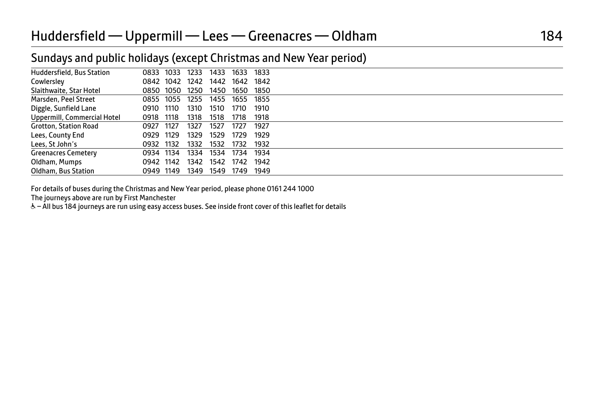#### Sundays and public holidays (except Christmas and New Year period)

| Huddersfield, Bus Station    | 0833      | 1033      | 1233 | 1433 | 1633 | 1833 |  |
|------------------------------|-----------|-----------|------|------|------|------|--|
| Cowlersley                   |           | 0842 1042 | 1242 | 1442 | 1642 | 1842 |  |
| Slaithwaite, Star Hotel      | 0850      | 1050      | 1250 | 1450 | 1650 | 1850 |  |
| Marsden, Peel Street         | 0855      | 1055      | 1255 | 1455 | 1655 | 1855 |  |
| Diggle, Sunfield Lane        | 0910      | 1110      | 1310 | 1510 | 1710 | 1910 |  |
| Uppermill, Commercial Hotel  | 0918      | 1118      | 1318 | 1518 | 1718 | 1918 |  |
| <b>Grotton, Station Road</b> | 0927      | 1127      | 1327 | 1527 | 1727 | 1927 |  |
| Lees, County End             | 0929      | 1129      | 1329 | 1529 | 1729 | 1929 |  |
| Lees, St John's              | 0932 1132 |           | 1332 | 1532 | 1732 | 1932 |  |
| <b>Greenacres Cemetery</b>   | 0934 1134 |           | 1334 | 1534 | 1734 | 1934 |  |
| Oldham, Mumps                | 0942 1142 |           | 1342 | 1542 | 1742 | 1942 |  |
| Oldham, Bus Station          | 0949 1149 |           | 1349 | 1549 | 1749 | 1949 |  |
|                              |           |           |      |      |      |      |  |

For details of buses during the Christmas and New Year period, please phone 0161 244 1000

The journeys above are run by First Manchester

& - All bus 184 journeys are run using easy access buses. See inside front cover of this leaflet for details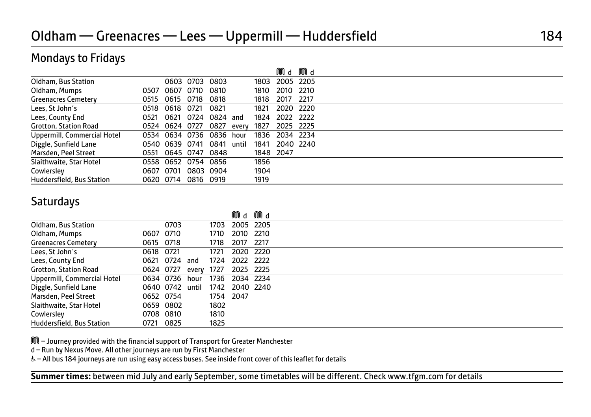|                             |           |                |                |          |       |      | Mid       | MUd    |  |
|-----------------------------|-----------|----------------|----------------|----------|-------|------|-----------|--------|--|
| Oldham, Bus Station         |           |                | 0603 0703      | 0803     |       | 1803 | 2005      | 2205   |  |
| Oldham, Mumps               | 0507      | 0607           | 0710           | 0810     |       | 1810 | 2010      | 2210   |  |
| <b>Greenacres Cemetery</b>  | 0515      | 0615           | 0718           | 0818     |       | 1818 | 2017      | 2217   |  |
| Lees, St John's             | 0518      | 0618           | 0721           | 0821     |       | 1821 | 2020 2220 |        |  |
| Lees, County End            | 0521      | 0621           | 0724           | 0824 and |       | 1824 | 2022      | 2222   |  |
| Grotton, Station Road       |           | 0524 0624 0727 |                | 0827     | every | 1827 | 2025      | - 2225 |  |
| Uppermill, Commercial Hotel |           | 0534 0634 0736 |                | 0836     | hour  | 1836 | 2034      | 2234   |  |
| Diggle, Sunfield Lane       |           | 0540 0639 0741 |                | 0841     | until | 1841 | 2040 2240 |        |  |
| Marsden, Peel Street        | 0551      | 0645 0747      |                | 0848     |       | 1848 | 2047      |        |  |
| Slaithwaite, Star Hotel     | 0558      |                | 0652 0754 0856 |          |       | 1856 |           |        |  |
| Cowlersley                  | 0607      | 0701           | 0803 0904      |          |       | 1904 |           |        |  |
| Huddersfield, Bus Station   | 0620 0714 |                | 0816 0919      |          |       | 1919 |           |        |  |

#### **Saturdays**

|                              |                 |      |       |      | MCd MCd   |      |
|------------------------------|-----------------|------|-------|------|-----------|------|
| Oldham, Bus Station          |                 | 0703 |       | 1703 | 2005 2205 |      |
| Oldham, Mumps                | 0607            | 0710 |       | 1710 | 2010 2210 |      |
| <b>Greenacres Cemetery</b>   | 0615 0718       |      |       | 1718 | 2017      | 2217 |
| Lees, St John's              | 0618 0721       |      |       | 1721 | 2020      | 2220 |
| Lees, County End             | 0621            | 0724 | and   | 1724 | 2022 2222 |      |
| <b>Grotton, Station Road</b> | 0624 0727       |      | everv | 1727 | 2025 2225 |      |
| Uppermill, Commercial Hotel  | 0634 0736       |      | hour  | 1736 | 2034 2234 |      |
| Diggle, Sunfield Lane        | 0640 0742 until |      |       | 1742 | 2040 2240 |      |
| Marsden, Peel Street         | 0652 0754       |      |       |      | 1754 2047 |      |
| Slaithwaite, Star Hotel      | 0659 0802       |      |       | 1802 |           |      |
| Cowlersley                   | 0708 0810       |      |       | 1810 |           |      |
| Huddersfield, Bus Station    | 0721            | 0825 |       | 1825 |           |      |

M – Journey provided with the financial support of Transport for Greater Manchester

d – Run by Nexus Move. All other journeys are run by First Manchester

& - All bus 184 journeys are run using easy access buses. See inside front cover of this leaflet for details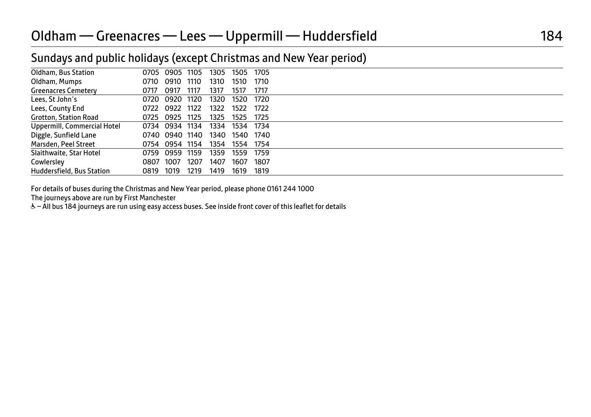#### Sundays and public holidays (except Christmas and New Year period)

| Oldham, Bus Station          | 0705 | 0905 1105      |      | 1305 | 1505           | 1705 |  |
|------------------------------|------|----------------|------|------|----------------|------|--|
| Oldham, Mumps                | 0710 | 0910           | 1110 | 1310 | 1510           | 1710 |  |
| <b>Greenacres Cemetery</b>   | 0717 | 0917           | 1117 | 1317 | 1517           | 1717 |  |
| Lees, St John's              |      | 0720 0920 1120 |      | 1320 | 1520           | 1720 |  |
| Lees, County End             | 0722 | 0922 1122      |      | 1322 | 1522           | 1722 |  |
| <b>Grotton, Station Road</b> |      | 0725 0925 1125 |      | 1325 | 1525           | 1725 |  |
| Uppermill, Commercial Hotel  |      | 0734 0934 1134 |      | 1334 | 1534 1734      |      |  |
| Diggle, Sunfield Lane        |      | 0740 0940 1140 |      |      | 1340 1540 1740 |      |  |
| Marsden, Peel Street         |      | 0754 0954 1154 |      | 1354 | 1554 1754      |      |  |
| Slaithwaite, Star Hotel      |      | 0759 0959      | 1159 | 1359 | 1559           | 1759 |  |
| Cowlersley                   | 0807 | 1007           | 1207 | 1407 | 1607           | 1807 |  |
| Huddersfield, Bus Station    | 0819 | 1019           | 1219 | 1419 | 1619           | 1819 |  |
|                              |      |                |      |      |                |      |  |

For details of buses during the Christmas and New Year period, please phone 0161 244 1000

The journeys above are run by First Manchester

& - All bus 184 journeys are run using easy access buses. See inside front cover of this leaflet for details